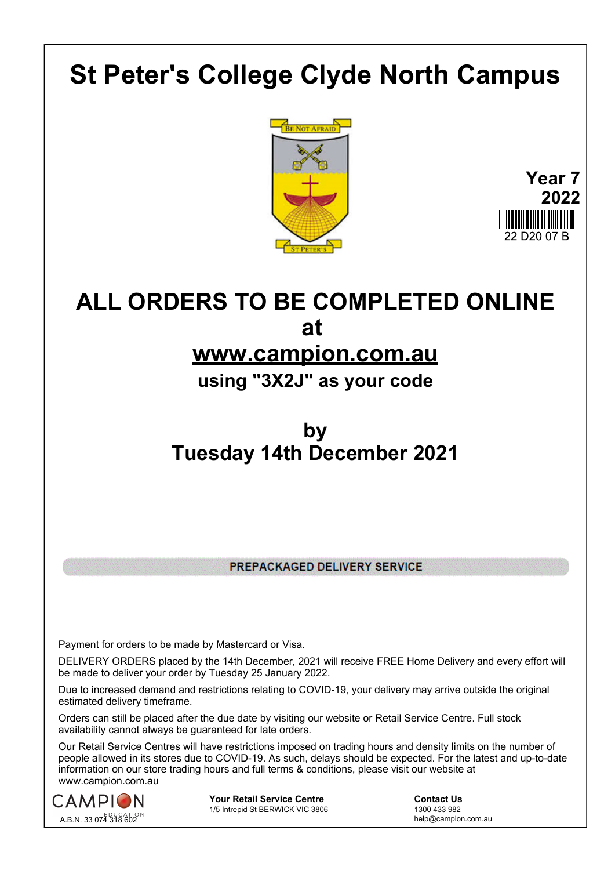## **St Peter's College Clyde North Campus**





## **ALL ORDERS TO BE COMPLETED ONLINE at**

## **www.campion.com.au**

**using "3X2J" as your code**

## **by Tuesday 14th December 2021**

PREPACKAGED DELIVERY SERVICE

Payment for orders to be made by Mastercard or Visa.

DELIVERY ORDERS placed by the 14th December, 2021 will receive FREE Home Delivery and every effort will be made to deliver your order by Tuesday 25 January 2022.

Due to increased demand and restrictions relating to COVID-19, your delivery may arrive outside the original estimated delivery timeframe.

Orders can still be placed after the due date by visiting our website or Retail Service Centre. Full stock availability cannot always be guaranteed for late orders.

Our Retail Service Centres will have restrictions imposed on trading hours and density limits on the number of people allowed in its stores due to COVID-19. As such, delays should be expected. For the latest and up-to-date information on our store trading hours and full terms & conditions, please visit our website at www.campion.com.au



**Your Retail Service Centre** <br>
1/5 Intrepid St BERWICK VIC 3806<br>
1300 433 982 1/5 Intrepid St BERWICK VIC 3806

help@campion.com.au